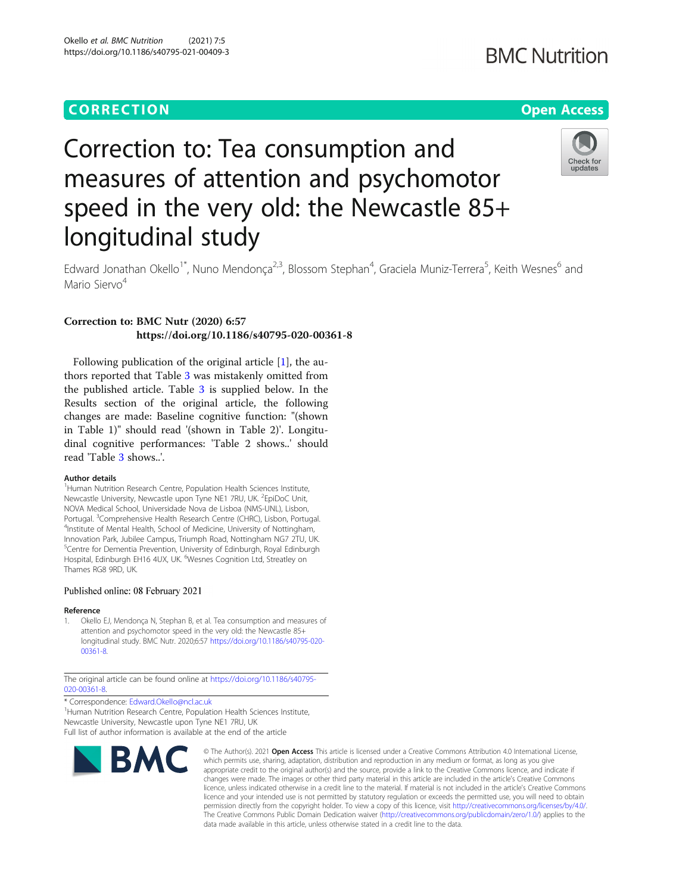## **CORRECTION CORRECTION CORRECTION**

# **BMC Nutrition**

# Check for updates

# Correction to: Tea consumption and measures of attention and psychomotor speed in the very old: the Newcastle 85+ longitudinal study

Edward Jonathan Okello<sup>1\*</sup>, Nuno Mendonça<sup>2,3</sup>, Blossom Stephan<sup>4</sup>, Graciela Muniz-Terrera<sup>5</sup>, Keith Wesnes<sup>6</sup> and Mario Siervo<sup>4</sup>

### Correction to: BMC Nutr (2020) 6:57 https://doi.org/10.1186/s40795-020-00361-8

Following publication of the original article [1], the authors reported that Table [3](#page-1-0) was mistakenly omitted from the published article. Table [3](#page-1-0) is supplied below. In the Results section of the original article, the following changes are made: Baseline cognitive function: "(shown in Table 1)" should read '(shown in Table 2)'. Longitudinal cognitive performances: 'Table 2 shows..' should read 'Table [3](#page-1-0) shows..'.

### Author details

<sup>1</sup> Human Nutrition Research Centre, Population Health Sciences Institute, Newcastle University, Newcastle upon Tyne NE1 7RU, UK. <sup>2</sup>EpiDoC Unit, NOVA Medical School, Universidade Nova de Lisboa (NMS-UNL), Lisbon, Portugal. <sup>3</sup>Comprehensive Health Research Centre (CHRC), Lisbon, Portugal.<br><sup>4</sup>Institute of Mental Health, School of Medicine, University of Nottingham. <sup>4</sup>Institute of Mental Health, School of Medicine, University of Nottingham, Innovation Park, Jubilee Campus, Triumph Road, Nottingham NG7 2TU, UK. <sup>5</sup>Centre for Dementia Prevention, University of Edinburgh, Royal Edinburgh Hospital, Edinburgh EH16 4UX, UK. <sup>6</sup>Wesnes Cognition Ltd, Streatley on Thames RG8 9RD, UK.

### Published online: 08 February 2021

### Reference

1. Okello EJ, Mendonça N, Stephan B, et al. Tea consumption and measures of attention and psychomotor speed in the very old: the Newcastle 85+ longitudinal study. BMC Nutr. 2020;6:57 [https://doi.org/10.1186/s40795-020-](https://doi.org/10.1186/s40795-020-00361-8) [00361-8](https://doi.org/10.1186/s40795-020-00361-8).

The original article can be found online at [https://doi.org/10.1186/s40795-](https://doi.org/10.1186/s40795-020-00361-8) [020-00361-8](https://doi.org/10.1186/s40795-020-00361-8).

\* Correspondence: [Edward.Okello@ncl.ac.uk](mailto:Edward.Okello@ncl.ac.uk) <sup>1</sup>

<sup>1</sup>Human Nutrition Research Centre, Population Health Sciences Institute, Newcastle University, Newcastle upon Tyne NE1 7RU, UK Full list of author information is available at the end of the article



© The Author(s), 2021 **Open Access** This article is licensed under a Creative Commons Attribution 4.0 International License, which permits use, sharing, adaptation, distribution and reproduction in any medium or format, as long as you give appropriate credit to the original author(s) and the source, provide a link to the Creative Commons licence, and indicate if changes were made. The images or other third party material in this article are included in the article's Creative Commons licence, unless indicated otherwise in a credit line to the material. If material is not included in the article's Creative Commons licence and your intended use is not permitted by statutory regulation or exceeds the permitted use, you will need to obtain permission directly from the copyright holder. To view a copy of this licence, visit [http://creativecommons.org/licenses/by/4.0/.](http://creativecommons.org/licenses/by/4.0/) The Creative Commons Public Domain Dedication waiver [\(http://creativecommons.org/publicdomain/zero/1.0/](http://creativecommons.org/publicdomain/zero/1.0/)) applies to the data made available in this article, unless otherwise stated in a credit line to the data.